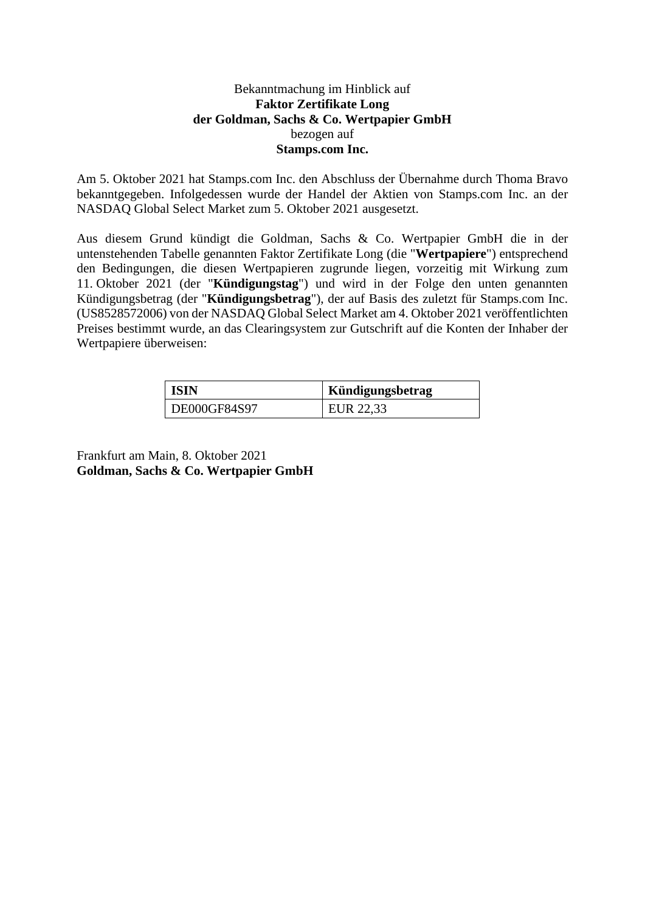## Bekanntmachung im Hinblick auf **Faktor Zertifikate Long der Goldman, Sachs & Co. Wertpapier GmbH** bezogen auf **Stamps.com Inc.**

Am 5. Oktober 2021 hat Stamps.com Inc. den Abschluss der Übernahme durch Thoma Bravo bekanntgegeben. Infolgedessen wurde der Handel der Aktien von Stamps.com Inc. an der NASDAQ Global Select Market zum 5. Oktober 2021 ausgesetzt.

Aus diesem Grund kündigt die Goldman, Sachs & Co. Wertpapier GmbH die in der untenstehenden Tabelle genannten Faktor Zertifikate Long (die "**Wertpapiere**") entsprechend den Bedingungen, die diesen Wertpapieren zugrunde liegen, vorzeitig mit Wirkung zum 11. Oktober 2021 (der "**Kündigungstag**") und wird in der Folge den unten genannten Kündigungsbetrag (der "**Kündigungsbetrag**"), der auf Basis des zuletzt für Stamps.com Inc. (US8528572006) von der NASDAQ Global Select Market am 4. Oktober 2021 veröffentlichten Preises bestimmt wurde, an das Clearingsystem zur Gutschrift auf die Konten der Inhaber der Wertpapiere überweisen:

| <b>ISIN</b>  | <b>Kündigungsbetrag</b> |
|--------------|-------------------------|
| DE000GF84S97 | EUR 22,33               |

Frankfurt am Main, 8. Oktober 2021 **Goldman, Sachs & Co. Wertpapier GmbH**